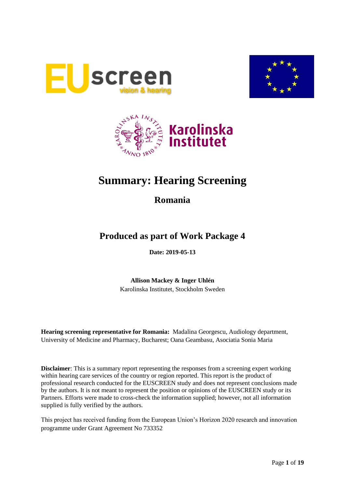





# **Summary: Hearing Screening**

### **Romania**

## **Produced as part of Work Package 4**

**Date: 2019-05-13**

**Allison Mackey & Inger Uhlén** Karolinska Institutet, Stockholm Sweden

**Hearing screening representative for Romania:** Madalina Georgescu, Audiology department, University of Medicine and Pharmacy, Bucharest; Oana Geambasu, Asociatia Sonia Maria

**Disclaimer**: This is a summary report representing the responses from a screening expert working within hearing care services of the country or region reported. This report is the product of professional research conducted for the EUSCREEN study and does not represent conclusions made by the authors. It is not meant to represent the position or opinions of the EUSCREEN study or its Partners. Efforts were made to cross-check the information supplied; however, not all information supplied is fully verified by the authors.

This project has received funding from the European Union's Horizon 2020 research and innovation programme under Grant Agreement No 733352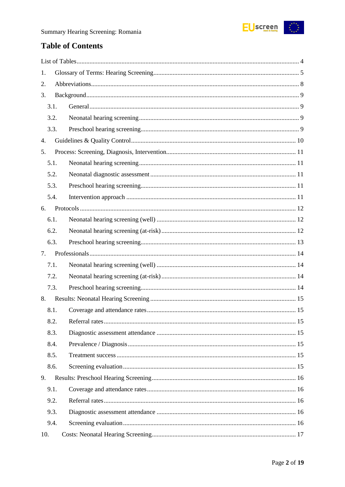

## **Table of Contents**

| 1.   |  |
|------|--|
| 2.   |  |
| 3.   |  |
| 3.1. |  |
| 3.2. |  |
| 3.3. |  |
| 4.   |  |
| 5.   |  |
| 5.1. |  |
| 5.2. |  |
| 5.3. |  |
| 5.4. |  |
| 6.   |  |
| 6.1. |  |
| 6.2. |  |
| 6.3. |  |
| 7.   |  |
| 7.1. |  |
| 7.2. |  |
| 7.3. |  |
| 8.   |  |
| 8.1. |  |
| 8.2. |  |
| 8.3. |  |
| 8.4. |  |
|      |  |
| 8.5. |  |
| 8.6. |  |
| 9.   |  |
| 9.1. |  |
| 9.2. |  |
| 9.3. |  |
| 9.4. |  |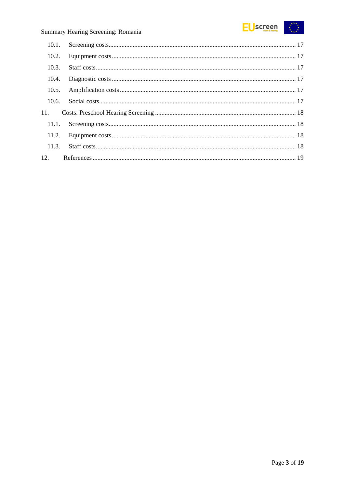#### **EUscreen**  $\begin{array}{c} \star^{\star\star}\star_\star\\ \star\\ \star_{\star\ldots\star} \end{array}$

### Summary Hearing Screening: Romania

| 10.2. |  |
|-------|--|
| 10.3. |  |
| 10.4. |  |
| 10.5. |  |
| 10.6. |  |
| 11.   |  |
|       |  |
|       |  |
|       |  |
|       |  |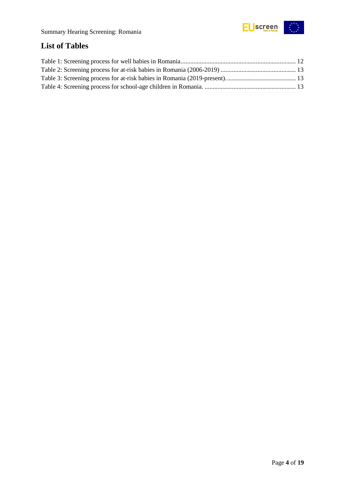

## <span id="page-3-0"></span>**List of Tables**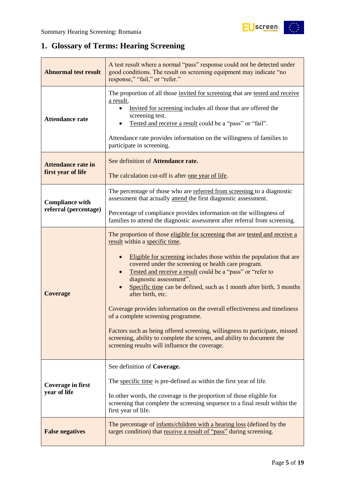## <span id="page-4-0"></span>**1. Glossary of Terms: Hearing Screening**

| A test result where a normal "pass" response could not be detected under<br><b>Abnormal test result</b><br>good conditions. The result on screening equipment may indicate "no<br>response," "fail," or "refer." |                                                                                                                                                                                                                                                                                                                                                                                                                                                                                                                                                                                                                                                                                                                                                                  |  |  |
|------------------------------------------------------------------------------------------------------------------------------------------------------------------------------------------------------------------|------------------------------------------------------------------------------------------------------------------------------------------------------------------------------------------------------------------------------------------------------------------------------------------------------------------------------------------------------------------------------------------------------------------------------------------------------------------------------------------------------------------------------------------------------------------------------------------------------------------------------------------------------------------------------------------------------------------------------------------------------------------|--|--|
| <b>Attendance rate</b>                                                                                                                                                                                           | The proportion of all those invited for screening that are tested and receive<br>a result,<br>Invited for screening includes all those that are offered the<br>screening test.<br>Tested and receive a result could be a "pass" or "fail".<br>Attendance rate provides information on the willingness of families to<br>participate in screening.                                                                                                                                                                                                                                                                                                                                                                                                                |  |  |
| <b>Attendance rate in</b><br>first year of life                                                                                                                                                                  | See definition of Attendance rate.<br>The calculation cut-off is after one year of life.                                                                                                                                                                                                                                                                                                                                                                                                                                                                                                                                                                                                                                                                         |  |  |
| <b>Compliance with</b><br>referral (percentage)                                                                                                                                                                  | The percentage of those who are referred from screening to a diagnostic<br>assessment that actually attend the first diagnostic assessment.                                                                                                                                                                                                                                                                                                                                                                                                                                                                                                                                                                                                                      |  |  |
|                                                                                                                                                                                                                  | Percentage of compliance provides information on the willingness of<br>families to attend the diagnostic assessment after referral from screening.                                                                                                                                                                                                                                                                                                                                                                                                                                                                                                                                                                                                               |  |  |
| <b>Coverage</b>                                                                                                                                                                                                  | The proportion of those eligible for screening that are tested and receive a<br>result within a specific time.<br>Eligible for screening includes those within the population that are<br>covered under the screening or health care program.<br>Tested and receive a result could be a "pass" or "refer to<br>diagnostic assessment".<br>Specific time can be defined, such as 1 month after birth, 3 months<br>after birth, etc.<br>Coverage provides information on the overall effectiveness and timeliness<br>of a complete screening programme.<br>Factors such as being offered screening, willingness to participate, missed<br>screening, ability to complete the screen, and ability to document the<br>screening results will influence the coverage. |  |  |
| <b>Coverage in first</b><br>year of life                                                                                                                                                                         | See definition of Coverage.<br>The specific time is pre-defined as within the first year of life.<br>In other words, the coverage is the proportion of those eligible for<br>screening that complete the screening sequence to a final result within the<br>first year of life.                                                                                                                                                                                                                                                                                                                                                                                                                                                                                  |  |  |
| <b>False negatives</b>                                                                                                                                                                                           | The percentage of infants/children with a hearing loss (defined by the<br>target condition) that receive a result of "pass" during screening.                                                                                                                                                                                                                                                                                                                                                                                                                                                                                                                                                                                                                    |  |  |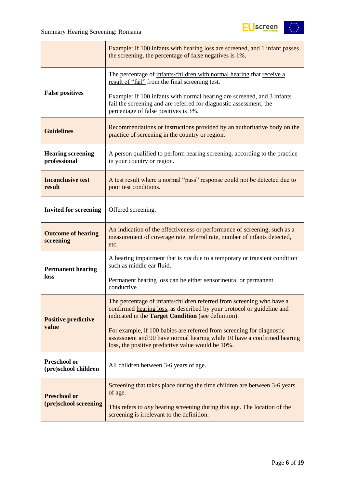

|                                             | Example: If 100 infants with hearing loss are screened, and 1 infant passes<br>the screening, the percentage of false negatives is 1%.                                                                        |  |  |  |
|---------------------------------------------|---------------------------------------------------------------------------------------------------------------------------------------------------------------------------------------------------------------|--|--|--|
|                                             | The percentage of infants/children with normal hearing that receive a<br>result of "fail" from the final screening test.                                                                                      |  |  |  |
| <b>False positives</b>                      | Example: If 100 infants with normal hearing are screened, and 3 infants<br>fail the screening and are referred for diagnostic assessment, the<br>percentage of false positives is 3%.                         |  |  |  |
| <b>Guidelines</b>                           | Recommendations or instructions provided by an authoritative body on the<br>practice of screening in the country or region.                                                                                   |  |  |  |
| <b>Hearing screening</b><br>professional    | A person qualified to perform hearing screening, according to the practice<br>in your country or region.                                                                                                      |  |  |  |
| <b>Inconclusive test</b><br>result          | A test result where a normal "pass" response could not be detected due to<br>poor test conditions.                                                                                                            |  |  |  |
| <b>Invited for screening</b>                | Offered screening.                                                                                                                                                                                            |  |  |  |
| <b>Outcome of hearing</b><br>screening      | An indication of the effectiveness or performance of screening, such as a<br>measurement of coverage rate, referral rate, number of infants detected,<br>etc.                                                 |  |  |  |
| <b>Permanent hearing</b>                    | A hearing impairment that is <i>not</i> due to a temporary or transient condition<br>such as middle ear fluid.                                                                                                |  |  |  |
| loss                                        | Permanent hearing loss can be either sensorineural or permanent<br>conductive.                                                                                                                                |  |  |  |
| <b>Positive predictive</b>                  | The percentage of infants/children referred from screening who have a<br>confirmed hearing loss, as described by your protocol or guideline and<br>indicated in the <b>Target Condition</b> (see definition). |  |  |  |
| value                                       | For example, if 100 babies are referred from screening for diagnostic<br>assessment and 90 have normal hearing while 10 have a confirmed hearing<br>loss, the positive predictive value would be 10%.         |  |  |  |
| <b>Preschool or</b><br>(pre)school children | All children between 3-6 years of age.                                                                                                                                                                        |  |  |  |
| <b>Preschool or</b>                         | Screening that takes place during the time children are between 3-6 years<br>of age.                                                                                                                          |  |  |  |
| (pre)school screening                       | This refers to <i>any</i> hearing screening during this age. The location of the<br>screening is irrelevant to the definition.                                                                                |  |  |  |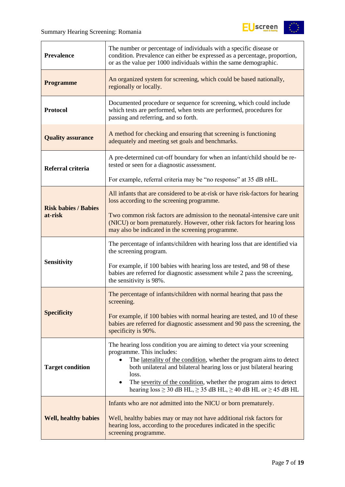

| <b>Prevalence</b>                                                                                                 | The number or percentage of individuals with a specific disease or<br>condition. Prevalence can either be expressed as a percentage, proportion,<br>or as the value per 1000 individuals within the same demographic.                                                                                                                                                                                                 |  |  |
|-------------------------------------------------------------------------------------------------------------------|-----------------------------------------------------------------------------------------------------------------------------------------------------------------------------------------------------------------------------------------------------------------------------------------------------------------------------------------------------------------------------------------------------------------------|--|--|
| An organized system for screening, which could be based nationally,<br><b>Programme</b><br>regionally or locally. |                                                                                                                                                                                                                                                                                                                                                                                                                       |  |  |
| <b>Protocol</b>                                                                                                   | Documented procedure or sequence for screening, which could include<br>which tests are performed, when tests are performed, procedures for<br>passing and referring, and so forth.                                                                                                                                                                                                                                    |  |  |
| <b>Quality assurance</b>                                                                                          | A method for checking and ensuring that screening is functioning<br>adequately and meeting set goals and benchmarks.                                                                                                                                                                                                                                                                                                  |  |  |
| Referral criteria                                                                                                 | A pre-determined cut-off boundary for when an infant/child should be re-<br>tested or seen for a diagnostic assessment.                                                                                                                                                                                                                                                                                               |  |  |
|                                                                                                                   | For example, referral criteria may be "no response" at 35 dB nHL.                                                                                                                                                                                                                                                                                                                                                     |  |  |
| <b>Risk babies / Babies</b>                                                                                       | All infants that are considered to be at-risk or have risk-factors for hearing<br>loss according to the screening programme.                                                                                                                                                                                                                                                                                          |  |  |
| at-risk                                                                                                           | Two common risk factors are admission to the neonatal-intensive care unit<br>(NICU) or born prematurely. However, other risk factors for hearing loss<br>may also be indicated in the screening programme.                                                                                                                                                                                                            |  |  |
|                                                                                                                   | The percentage of infants/children with hearing loss that are identified via<br>the screening program.                                                                                                                                                                                                                                                                                                                |  |  |
| <b>Sensitivity</b>                                                                                                | For example, if 100 babies with hearing loss are tested, and 98 of these<br>babies are referred for diagnostic assessment while 2 pass the screening,<br>the sensitivity is 98%.                                                                                                                                                                                                                                      |  |  |
|                                                                                                                   | The percentage of infants/children with normal hearing that pass the<br>screening.                                                                                                                                                                                                                                                                                                                                    |  |  |
| <b>Specificity</b>                                                                                                | For example, if 100 babies with normal hearing are tested, and 10 of these<br>babies are referred for diagnostic assessment and 90 pass the screening, the<br>specificity is 90%.                                                                                                                                                                                                                                     |  |  |
| <b>Target condition</b>                                                                                           | The hearing loss condition you are aiming to detect via your screening<br>programme. This includes:<br>The laterality of the condition, whether the program aims to detect<br>both unilateral and bilateral hearing loss or just bilateral hearing<br>loss.<br>The severity of the condition, whether the program aims to detect<br>hearing loss $\geq$ 30 dB HL, $\geq$ 35 dB HL, $\geq$ 40 dB HL or $\geq$ 45 dB HL |  |  |
| <b>Well, healthy babies</b>                                                                                       | Infants who are <i>not</i> admitted into the NICU or born prematurely.<br>Well, healthy babies may or may not have additional risk factors for<br>hearing loss, according to the procedures indicated in the specific<br>screening programme.                                                                                                                                                                         |  |  |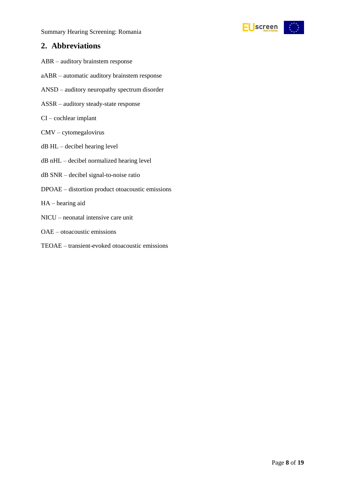Summary Hearing Screening: Romania



### <span id="page-7-0"></span>**2. Abbreviations**

- ABR auditory brainstem response
- aABR automatic auditory brainstem response
- ANSD auditory neuropathy spectrum disorder
- ASSR auditory steady-state response
- CI cochlear implant
- CMV cytomegalovirus
- dB HL decibel hearing level
- dB nHL decibel normalized hearing level
- dB SNR decibel signal-to-noise ratio
- DPOAE distortion product otoacoustic emissions
- HA hearing aid
- NICU neonatal intensive care unit
- OAE otoacoustic emissions
- TEOAE transient-evoked otoacoustic emissions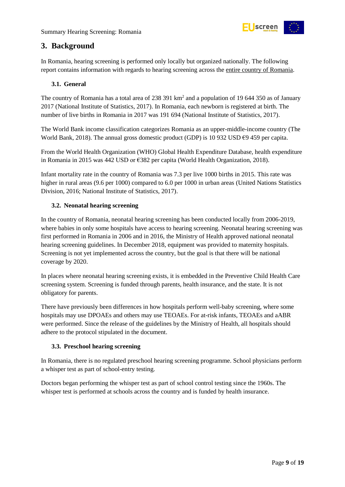

### <span id="page-8-0"></span>**3. Background**

In Romania, hearing screening is performed only locally but organized nationally. The following report contains information with regards to hearing screening across the entire country of Romania.

### <span id="page-8-1"></span>**3.1. General**

The country of Romania has a total area of 238 391 km<sup>2</sup> and a population of 19 644 350 as of January 2017 (National Institute of Statistics, 2017). In Romania, each newborn is registered at birth. The number of live births in Romania in 2017 was 191 694 (National Institute of Statistics, 2017).

The World Bank income classification categorizes Romania as an upper-middle-income country (The World Bank, 2018). The annual gross domestic product (GDP) is 10 932 USD  $\epsilon$ 9 459 per capita.

From the World Health Organization (WHO) Global Health Expenditure Database, health expenditure in Romania in 2015 was 442 USD or €382 per capita (World Health Organization, 2018).

Infant mortality rate in the country of Romania was 7.3 per live 1000 births in 2015. This rate was higher in rural areas (9.6 per 1000) compared to 6.0 per 1000 in urban areas (United Nations Statistics Division, 2016; National Institute of Statistics, 2017).

### <span id="page-8-2"></span>**3.2. Neonatal hearing screening**

In the country of Romania, neonatal hearing screening has been conducted locally from 2006-2019, where babies in only some hospitals have access to hearing screening. Neonatal hearing screening was first performed in Romania in 2006 and in 2016, the Ministry of Health approved national neonatal hearing screening guidelines. In December 2018, equipment was provided to maternity hospitals. Screening is not yet implemented across the country, but the goal is that there will be national coverage by 2020.

In places where neonatal hearing screening exists, it is embedded in the Preventive Child Health Care screening system. Screening is funded through parents, health insurance, and the state. It is not obligatory for parents.

There have previously been differences in how hospitals perform well-baby screening, where some hospitals may use DPOAEs and others may use TEOAEs. For at-risk infants, TEOAEs and aABR were performed. Since the release of the guidelines by the Ministry of Health, all hospitals should adhere to the protocol stipulated in the document.

### <span id="page-8-3"></span>**3.3. Preschool hearing screening**

In Romania, there is no regulated preschool hearing screening programme. School physicians perform a whisper test as part of school-entry testing.

Doctors began performing the whisper test as part of school control testing since the 1960s. The whisper test is performed at schools across the country and is funded by health insurance.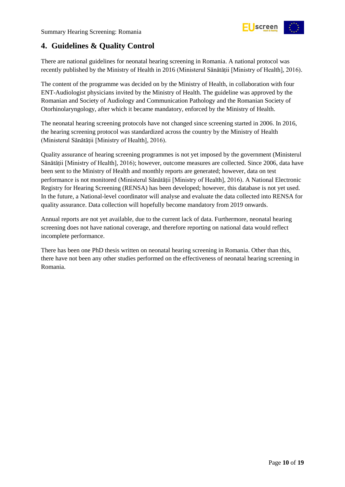

### <span id="page-9-0"></span>**4. Guidelines & Quality Control**

There are national guidelines for neonatal hearing screening in Romania. A national protocol was recently published by the Ministry of Health in 2016 (Ministerul Sănătății [Ministry of Health], 2016).

The content of the programme was decided on by the Ministry of Health, in collaboration with four ENT-Audiologist physicians invited by the Ministry of Health. The guideline was approved by the Romanian and Society of Audiology and Communication Pathology and the Romanian Society of Otorhinolaryngology, after which it became mandatory, enforced by the Ministry of Health.

The neonatal hearing screening protocols have not changed since screening started in 2006. In 2016, the hearing screening protocol was standardized across the country by the Ministry of Health (Ministerul Sănătății [Ministry of Health], 2016).

Quality assurance of hearing screening programmes is not yet imposed by the government (Ministerul Sănătății [Ministry of Health], 2016); however, outcome measures are collected. Since 2006, data have been sent to the Ministry of Health and monthly reports are generated; however, data on test performance is not monitored (Ministerul Sănătății [Ministry of Health], 2016). A National Electronic Registry for Hearing Screening (RENSA) has been developed; however, this database is not yet used. In the future, a National-level coordinator will analyse and evaluate the data collected into RENSA for quality assurance. Data collection will hopefully become mandatory from 2019 onwards.

Annual reports are not yet available, due to the current lack of data. Furthermore, neonatal hearing screening does not have national coverage, and therefore reporting on national data would reflect incomplete performance.

There has been one PhD thesis written on neonatal hearing screening in Romania. Other than this, there have not been any other studies performed on the effectiveness of neonatal hearing screening in Romania.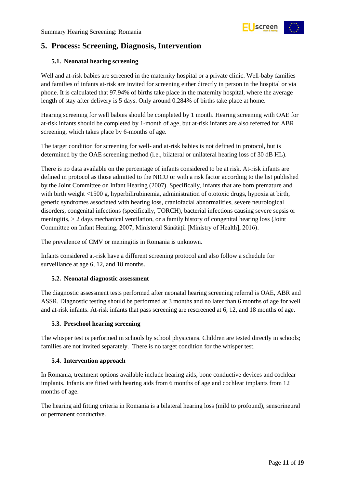

### <span id="page-10-0"></span>**5. Process: Screening, Diagnosis, Intervention**

### <span id="page-10-1"></span>**5.1. Neonatal hearing screening**

Well and at-risk babies are screened in the maternity hospital or a private clinic. Well-baby families and families of infants at-risk are invited for screening either directly in person in the hospital or via phone. It is calculated that 97.94% of births take place in the maternity hospital, where the average length of stay after delivery is 5 days. Only around 0.284% of births take place at home.

Hearing screening for well babies should be completed by 1 month. Hearing screening with OAE for at-risk infants should be completed by 1-month of age, but at-risk infants are also referred for ABR screening, which takes place by 6-months of age.

The target condition for screening for well- and at-risk babies is not defined in protocol, but is determined by the OAE screening method (i.e., bilateral or unilateral hearing loss of 30 dB HL).

There is no data available on the percentage of infants considered to be at risk. At-risk infants are defined in protocol as those admitted to the NICU or with a risk factor according to the list published by the Joint Committee on Infant Hearing (2007). Specifically, infants that are born premature and with birth weight <1500 g, hyperbilirubinemia, administration of ototoxic drugs, hypoxia at birth, genetic syndromes associated with hearing loss, craniofacial abnormalities, severe neurological disorders, congenital infections (specifically, TORCH), bacterial infections causing severe sepsis or meningitis, > 2 days mechanical ventilation, or a family history of congenital hearing loss (Joint Committee on Infant Hearing, 2007; Ministerul Sănătății [Ministry of Health], 2016).

The prevalence of CMV or meningitis in Romania is unknown.

Infants considered at-risk have a different screening protocol and also follow a schedule for surveillance at age 6, 12, and 18 months.

### <span id="page-10-2"></span>**5.2. Neonatal diagnostic assessment**

The diagnostic assessment tests performed after neonatal hearing screening referral is OAE, ABR and ASSR. Diagnostic testing should be performed at 3 months and no later than 6 months of age for well and at-risk infants. At-risk infants that pass screening are rescreened at 6, 12, and 18 months of age.

### <span id="page-10-3"></span>**5.3. Preschool hearing screening**

The whisper test is performed in schools by school physicians. Children are tested directly in schools; families are not invited separately. There is no target condition for the whisper test.

#### <span id="page-10-4"></span>**5.4. Intervention approach**

In Romania, treatment options available include hearing aids, bone conductive devices and cochlear implants. Infants are fitted with hearing aids from 6 months of age and cochlear implants from 12 months of age.

The hearing aid fitting criteria in Romania is a bilateral hearing loss (mild to profound), sensorineural or permanent conductive.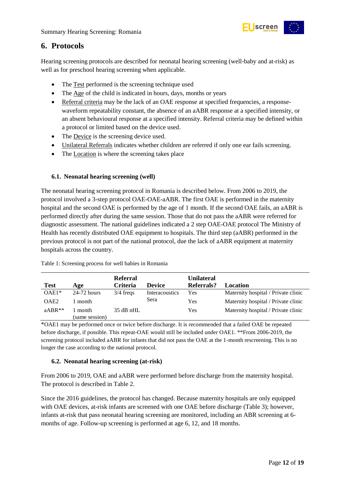

### <span id="page-11-0"></span>**6. Protocols**

Hearing screening protocols are described for neonatal hearing screening (well-baby and at-risk) as well as for preschool hearing screening when applicable.

- The Test performed is the screening technique used
- The Age of the child is indicated in hours, days, months or years
- Referral criteria may be the lack of an OAE response at specified frequencies, a responsewaveform repeatability constant, the absence of an aABR response at a specified intensity, or an absent behavioural response at a specified intensity. Referral criteria may be defined within a protocol or limited based on the device used.
- The Device is the screening device used.
- Unilateral Referrals indicates whether children are referred if only one ear fails screening.
- The Location is where the screening takes place

### <span id="page-11-1"></span>**6.1. Neonatal hearing screening (well)**

The neonatal hearing screening protocol in Romania is described below. From 2006 to 2019, the protocol involved a 3-step protocol OAE-OAE-aABR. The first OAE is performed in the maternity hospital and the second OAE is performed by the age of 1 month. If the second OAE fails, an aABR is performed directly after during the same session. Those that do not pass the aABR were referred for diagnostic assessment. The national guidelines indicated a 2 step OAE-OAE protocol The Ministry of Health has recently distributed OAE equipment to hospitals. The third step (aABR) performed in the previous protocol is not part of the national protocol, due the lack of aABR equipment at maternity hospitals across the country.

|                  |                         | <b>Referral</b> |                | <b>Unilateral</b> |                                     |
|------------------|-------------------------|-----------------|----------------|-------------------|-------------------------------------|
| <b>Test</b>      | Age                     | <b>Criteria</b> | Device         | Referrals?        | Location                            |
| $OAE1*$          | 24-72 hours             | $3/4$ freqs     | Interacoustics | Yes               | Maternity hospital / Private clinic |
| OAE <sub>2</sub> | month                   |                 | Sera           | Yes               | Maternity hospital / Private clinic |
| $aABR**$         | month<br>(same session) | $35$ dB nHL     |                | Yes               | Maternity hospital / Private clinic |

<span id="page-11-3"></span>Table 1: Screening process for well babies in Romania

\*OAE1 may be performed once or twice before discharge. It is recommended that a failed OAE be repeated before discharge, if possible. This repeat-OAE would still be included under OAE1. \*\*From 2006-2019, the screening protocol included aABR for infants that did not pass the OAE at the 1-month rescreening. This is no longer the case according to the national protocol.

### <span id="page-11-2"></span>**6.2. Neonatal hearing screening (at-risk)**

From 2006 to 2019, OAE and aABR were performed before discharge from the maternity hospital. The protocol is described in Table 2.

Since the 2016 guidelines, the protocol has changed. Because maternity hospitals are only equipped with OAE devices, at-risk infants are screened with one OAE before discharge (Table 3); however, infants at-risk that pass neonatal hearing screening are monitored, including an ABR screening at 6 months of age. Follow-up screening is performed at age 6, 12, and 18 months.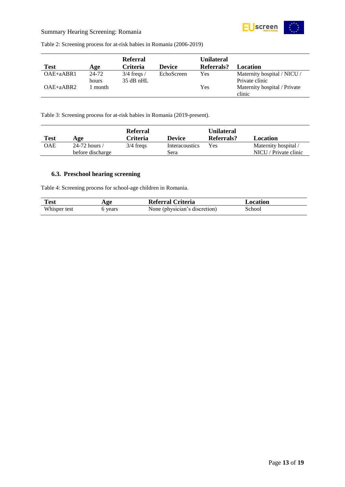

### Summary Hearing Screening: Romania

<span id="page-12-1"></span>

| Table 2: Screening process for at-risk babies in Romania (2006-2019) |  |
|----------------------------------------------------------------------|--|
|----------------------------------------------------------------------|--|

|               |       | <b>Referral</b> |               | Unilateral |                              |
|---------------|-------|-----------------|---------------|------------|------------------------------|
| <b>Test</b>   | Age   | <b>Criteria</b> | <b>Device</b> | Referrals? | Location                     |
| $OAE + aABR1$ | 24-72 | $3/4$ freqs /   | EchoScreen    | Yes        | Maternity hospital / NICU /  |
|               | hours | $35$ dB nHL     |               |            | Private clinic               |
| $OAE + aABR2$ | month |                 |               | Yes        | Maternity hospital / Private |
|               |       |                 |               |            | clinic                       |

<span id="page-12-2"></span>Table 3: Screening process for at-risk babies in Romania (2019-present).

| <b>Test</b> | Age                | <b>Referral</b><br>Criteria | <b>Device</b>  | <b>Unilateral</b><br>Referrals? | Location              |
|-------------|--------------------|-----------------------------|----------------|---------------------------------|-----------------------|
| OAE         | 24-72 hours $\ell$ | $3/4$ freqs                 | Interacoustics | Yes                             | Maternity hospital /  |
|             | before discharge   |                             | Sera           |                                 | NICU / Private clinic |

### <span id="page-12-0"></span>**6.3. Preschool hearing screening**

<span id="page-12-3"></span>Table 4: Screening process for school-age children in Romania.

| <b>Test</b>  | Age     | Referral Criteria             | Location |
|--------------|---------|-------------------------------|----------|
| Whisper test | b years | None (physician's discretion) | School   |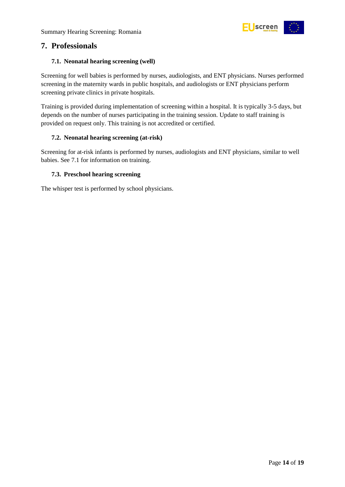

### <span id="page-13-0"></span>**7. Professionals**

### <span id="page-13-1"></span>**7.1. Neonatal hearing screening (well)**

Screening for well babies is performed by nurses, audiologists, and ENT physicians. Nurses performed screening in the maternity wards in public hospitals, and audiologists or ENT physicians perform screening private clinics in private hospitals.

Training is provided during implementation of screening within a hospital. It is typically 3-5 days, but depends on the number of nurses participating in the training session. Update to staff training is provided on request only. This training is not accredited or certified.

### <span id="page-13-2"></span>**7.2. Neonatal hearing screening (at-risk)**

Screening for at-risk infants is performed by nurses, audiologists and ENT physicians, similar to well babies. See 7.1 for information on training.

### <span id="page-13-3"></span>**7.3. Preschool hearing screening**

The whisper test is performed by school physicians.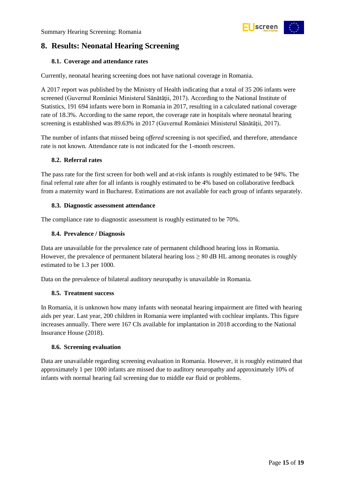

### <span id="page-14-0"></span>**8. Results: Neonatal Hearing Screening**

### <span id="page-14-1"></span>**8.1. Coverage and attendance rates**

Currently, neonatal hearing screening does not have national coverage in Romania.

A 2017 report was published by the Ministry of Health indicating that a total of 35 206 infants were screened (Guvernul României Ministerul Sănătăţii, 2017). According to the National Institute of Statistics, 191 694 infants were born in Romania in 2017, resulting in a calculated national coverage rate of 18.3%. According to the same report, the coverage rate in hospitals where neonatal hearing screening is established was 89.63% in 2017 (Guvernul României Ministerul Sănătăţii, 2017).

The number of infants that missed being *offered* screening is not specified, and therefore, attendance rate is not known. Attendance rate is not indicated for the 1-month rescreen.

### <span id="page-14-2"></span>**8.2. Referral rates**

The pass rate for the first screen for both well and at-risk infants is roughly estimated to be 94%. The final referral rate after for all infants is roughly estimated to be 4% based on collaborative feedback from a maternity ward in Bucharest. Estimations are not available for each group of infants separately.

### <span id="page-14-3"></span>**8.3. Diagnostic assessment attendance**

The compliance rate to diagnostic assessment is roughly estimated to be 70%.

### <span id="page-14-4"></span>**8.4. Prevalence / Diagnosis**

Data are unavailable for the prevalence rate of permanent childhood hearing loss in Romania. However, the prevalence of permanent bilateral hearing  $\cos \geq 80$  dB HL among neonates is roughly estimated to be 1.3 per 1000.

Data on the prevalence of bilateral auditory neuropathy is unavailable in Romania.

#### <span id="page-14-5"></span>**8.5. Treatment success**

In Romania, it is unknown how many infants with neonatal hearing impairment are fitted with hearing aids per year. Last year, 200 children in Romania were implanted with cochlear implants. This figure increases annually. There were 167 CIs available for implantation in 2018 according to the National Insurance House (2018).

#### <span id="page-14-6"></span>**8.6. Screening evaluation**

Data are unavailable regarding screening evaluation in Romania. However, it is roughly estimated that approximately 1 per 1000 infants are missed due to auditory neuropathy and approximately 10% of infants with normal hearing fail screening due to middle ear fluid or problems.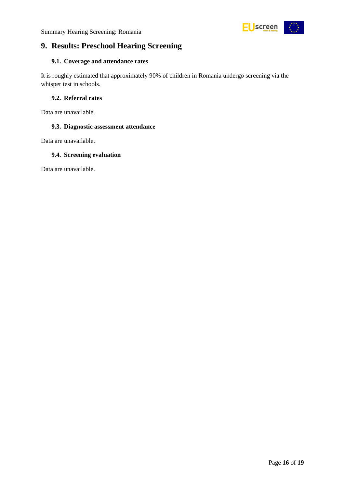

### <span id="page-15-0"></span>**9. Results: Preschool Hearing Screening**

### <span id="page-15-1"></span>**9.1. Coverage and attendance rates**

It is roughly estimated that approximately 90% of children in Romania undergo screening via the whisper test in schools.

### <span id="page-15-2"></span>**9.2. Referral rates**

Data are unavailable.

### <span id="page-15-3"></span>**9.3. Diagnostic assessment attendance**

Data are unavailable.

### <span id="page-15-4"></span>**9.4. Screening evaluation**

Data are unavailable.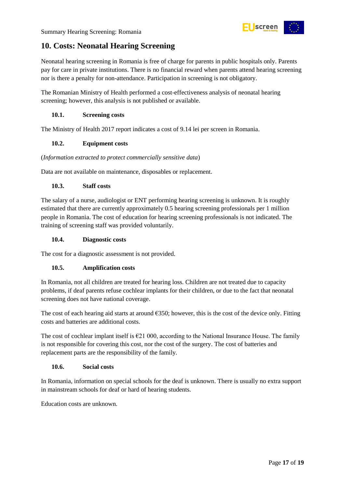### <span id="page-16-0"></span>**10. Costs: Neonatal Hearing Screening**

Neonatal hearing screening in Romania is free of charge for parents in public hospitals only. Parents pay for care in private institutions. There is no financial reward when parents attend hearing screening nor is there a penalty for non-attendance. Participation in screening is not obligatory.

The Romanian Ministry of Health performed a cost-effectiveness analysis of neonatal hearing screening; however, this analysis is not published or available.

### <span id="page-16-1"></span>**10.1. Screening costs**

The Ministry of Health 2017 report indicates a cost of 9.14 lei per screen in Romania.

### <span id="page-16-2"></span>**10.2. Equipment costs**

(*Information extracted to protect commercially sensitive data*)

Data are not available on maintenance, disposables or replacement.

### <span id="page-16-3"></span>**10.3. Staff costs**

The salary of a nurse, audiologist or ENT performing hearing screening is unknown. It is roughly estimated that there are currently approximately 0.5 hearing screening professionals per 1 million people in Romania. The cost of education for hearing screening professionals is not indicated. The training of screening staff was provided voluntarily.

#### <span id="page-16-4"></span>**10.4. Diagnostic costs**

The cost for a diagnostic assessment is not provided.

### <span id="page-16-5"></span>**10.5. Amplification costs**

In Romania, not all children are treated for hearing loss. Children are not treated due to capacity problems, if deaf parents refuse cochlear implants for their children, or due to the fact that neonatal screening does not have national coverage.

The cost of each hearing aid starts at around  $\epsilon$ 350; however, this is the cost of the device only. Fitting costs and batteries are additional costs.

The cost of cochlear implant itself is €21 000, according to the National Insurance House. The family is not responsible for covering this cost, nor the cost of the surgery. The cost of batteries and replacement parts are the responsibility of the family.

#### <span id="page-16-6"></span>**10.6. Social costs**

In Romania, information on special schools for the deaf is unknown. There is usually no extra support in mainstream schools for deaf or hard of hearing students.

Education costs are unknown.

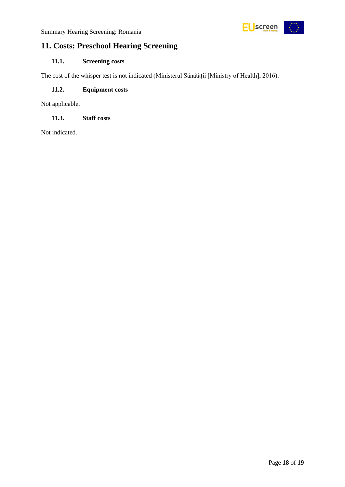### <span id="page-17-0"></span>**11. Costs: Preschool Hearing Screening**

### <span id="page-17-1"></span>**11.1. Screening costs**

The cost of the whisper test is not indicated (Ministerul Sănătății [Ministry of Health], 2016).

### <span id="page-17-2"></span>**11.2. Equipment costs**

Not applicable.

### <span id="page-17-3"></span>**11.3. Staff costs**

Not indicated.